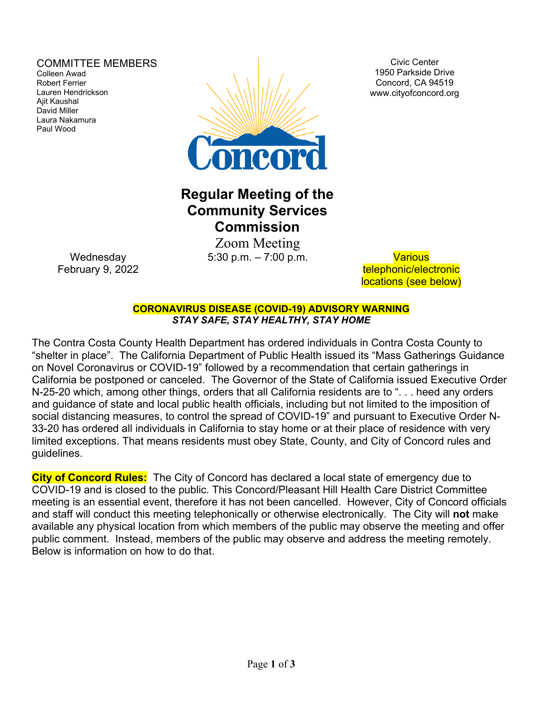### COMMITTEE MEMBERS

Colleen Awad Robert Ferrier Lauren Hendrickson Ajit Kaushal David Miller Laura Nakamura Paul Wood



Civic Center 1950 Parkside Drive Concord, CA 94519 www.cityofconcord.org

# **Regular Meeting of the Community Services Commission**

 Zoom Meeting 5:30 p.m. – 7:00 p.m. Various

telephonic/electronic locations (see below)

**CORONAVIRUS DISEASE (COVID-19) ADVISORY WARNING** *STAY SAFE, STAY HEALTHY, STAY HOME*

The Contra Costa County Health Department has ordered individuals in Contra Costa County to "shelter in place". The California Department of Public Health issued its "Mass Gatherings Guidance on Novel Coronavirus or COVID-19" followed by a recommendation that certain gatherings in California be postponed or canceled. The Governor of the State of California issued Executive Order N-25-20 which, among other things, orders that all California residents are to ". . . heed any orders and guidance of state and local public health officials, including but not limited to the imposition of social distancing measures, to control the spread of COVID-19" and pursuant to Executive Order N-33-20 has ordered all individuals in California to stay home or at their place of residence with very limited exceptions. That means residents must obey State, County, and City of Concord rules and guidelines.

**City of Concord Rules:** The City of Concord has declared a local state of emergency due to COVID-19 and is closed to the public. This Concord/Pleasant Hill Health Care District Committee meeting is an essential event, therefore it has not been cancelled. However, City of Concord officials and staff will conduct this meeting telephonically or otherwise electronically. The City will **not** make available any physical location from which members of the public may observe the meeting and offer public comment. Instead, members of the public may observe and address the meeting remotely. Below is information on how to do that.

**Wednesday** February 9, 2022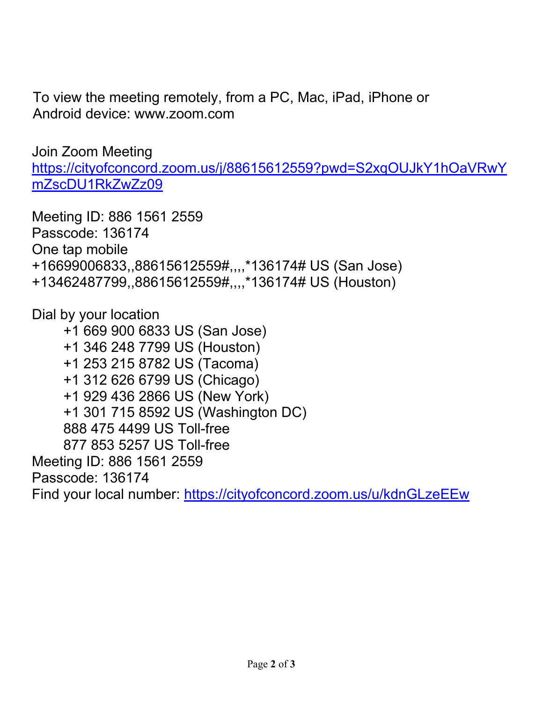To view the meeting remotely, from a PC, Mac, iPad, iPhone or Android device: www.zoom.com

Join Zoom Meeting

[https://cityofconcord.zoom.us/j/88615612559?pwd=S2xqOUJkY1hOaVRwY](https://cityofconcord.zoom.us/j/88615612559?pwd=S2xqOUJkY1hOaVRwYmZscDU1RkZwZz09) [mZscDU1RkZwZz09](https://cityofconcord.zoom.us/j/88615612559?pwd=S2xqOUJkY1hOaVRwYmZscDU1RkZwZz09)

Meeting ID: 886 1561 2559 Passcode: 136174 One tap mobile +16699006833,,88615612559#,,,,\*136174# US (San Jose) +13462487799,,88615612559#,,,,\*136174# US (Houston)

Dial by your location

 +1 669 900 6833 US (San Jose) +1 346 248 7799 US (Houston) +1 253 215 8782 US (Tacoma) +1 312 626 6799 US (Chicago) +1 929 436 2866 US (New York) +1 301 715 8592 US (Washington DC) 888 475 4499 US Toll-free 877 853 5257 US Toll-free Meeting ID: 886 1561 2559 Passcode: 136174 Find your local number:<https://cityofconcord.zoom.us/u/kdnGLzeEEw>